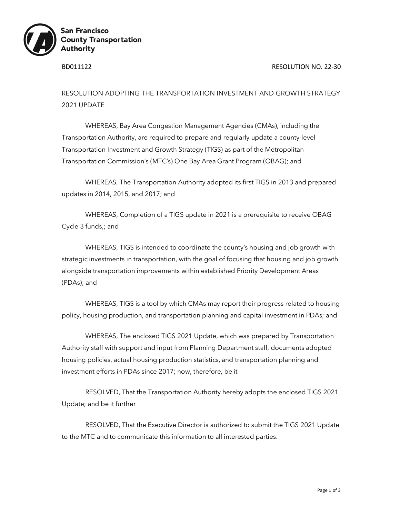

**San Francisco County Transportation Authority** 

RESOLUTION ADOPTING THE TRANSPORTATION INVESTMENT AND GROWTH STRATEGY 2021 UPDATE

WHEREAS, Bay Area Congestion Management Agencies (CMAs), including the Transportation Authority, are required to prepare and regularly update a county-level Transportation Investment and Growth Strategy (TIGS) as part of the Metropolitan Transportation Commission's (MTC's) One Bay Area Grant Program (OBAG); and

WHEREAS, The Transportation Authority adopted its first TIGS in 2013 and prepared updates in 2014, 2015, and 2017; and

WHEREAS, Completion of a TIGS update in 2021 is a prerequisite to receive OBAG Cycle 3 funds,; and

WHEREAS, TIGS is intended to coordinate the county's housing and job growth with strategic investments in transportation, with the goal of focusing that housing and job growth alongside transportation improvements within established Priority Development Areas (PDAs); and

WHEREAS, TIGS is a tool by which CMAs may report their progress related to housing policy, housing production, and transportation planning and capital investment in PDAs; and

WHEREAS, The enclosed TIGS 2021 Update, which was prepared by Transportation Authority staff with support and input from Planning Department staff, documents adopted housing policies, actual housing production statistics, and transportation planning and investment efforts in PDAs since 2017; now, therefore, be it

RESOLVED, That the Transportation Authority hereby adopts the enclosed TIGS 2021 Update; and be it further

RESOLVED, That the Executive Director is authorized to submit the TIGS 2021 Update to the MTC and to communicate this information to all interested parties.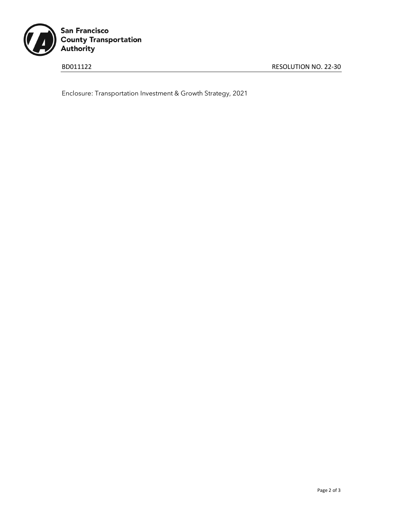

BD011122 RESOLUTION NO. 22-30

Enclosure: Transportation Investment & Growth Strategy, 2021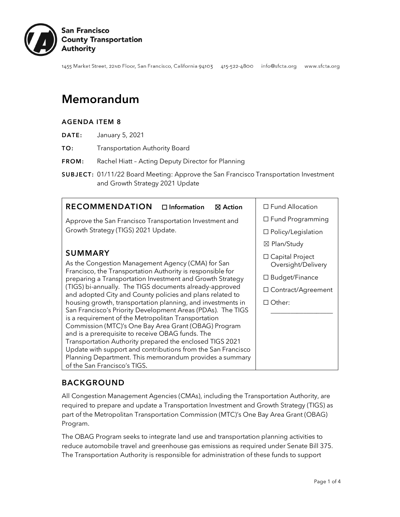

1455 Market Street, 22ND Floor, San Francisco, California 94103 415-522-4800 info@sfcta.org www.sfcta.org

# Memorandum

#### AGENDA ITEM 8

- DATE: January 5, 2021
- TO: Transportation Authority Board
- FROM: Rachel Hiatt Acting Deputy Director for Planning
- SUBJECT: 01/11/22 Board Meeting: Approve the San Francisco Transportation Investment and Growth Strategy 2021 Update

### BACKGROUND

All Congestion Management Agencies (CMAs), including the Transportation Authority, are required to prepare and update a Transportation Investment and Growth Strategy (TIGS) as part of the Metropolitan Transportation Commission (MTC)'s One Bay Area Grant (OBAG) Program.

The OBAG Program seeks to integrate land use and transportation planning activities to reduce automobile travel and greenhouse gas emissions as required under Senate Bill 375. The Transportation Authority is responsible for administration of these funds to support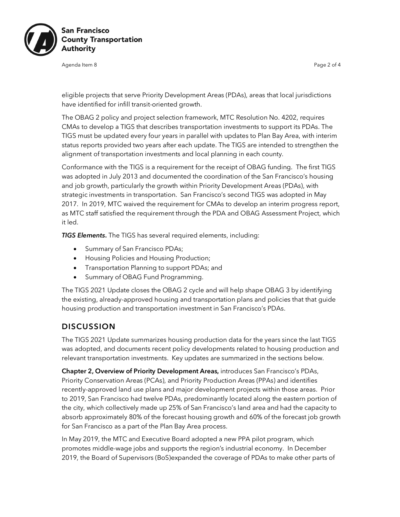

Agenda Item 8 Page 2 of 4

eligible projects that serve Priority Development Areas (PDAs), areas that local jurisdictions have identified for infill transit-oriented growth.

The OBAG 2 policy and project selection framework, MTC Resolution No. 4202, requires CMAs to develop a TIGS that describes transportation investments to support its PDAs. The TIGS must be updated every four years in parallel with updates to Plan Bay Area, with interim status reports provided two years after each update. The TIGS are intended to strengthen the alignment of transportation investments and local planning in each county.

Conformance with the TIGS is a requirement for the receipt of OBAG funding. The first TIGS was adopted in July 2013 and documented the coordination of the San Francisco's housing and job growth, particularly the growth within Priority Development Areas (PDAs), with strategic investments in transportation. San Francisco's second TIGS was adopted in May 2017. In 2019, MTC waived the requirement for CMAs to develop an interim progress report, as MTC staff satisfied the requirement through the PDA and OBAG Assessment Project, which it led.

*TIGS Elements*. The TIGS has several required elements, including:

- Summary of San Francisco PDAs;
- Housing Policies and Housing Production;
- Transportation Planning to support PDAs; and
- Summary of OBAG Fund Programming.

The TIGS 2021 Update closes the OBAG 2 cycle and will help shape OBAG 3 by identifying the existing, already-approved housing and transportation plans and policies that that guide housing production and transportation investment in San Francisco's PDAs.

#### **DISCUSSION**

The TIGS 2021 Update summarizes housing production data for the years since the last TIGS was adopted, and documents recent policy developments related to housing production and relevant transportation investments. Key updates are summarized in the sections below.

Chapter 2, Overview of Priority Development Areas, introduces San Francisco's PDAs, Priority Conservation Areas (PCAs), and Priority Production Areas (PPAs) and identifies recently-approved land use plans and major development projects within those areas. Prior to 2019, San Francisco had twelve PDAs, predominantly located along the eastern portion of the city, which collectively made up 25% of San Francisco's land area and had the capacity to absorb approximately 80% of the forecast housing growth and 60% of the forecast job growth for San Francisco as a part of the Plan Bay Area process.

In May 2019, the MTC and Executive Board adopted a new PPA pilot program, which promotes middle-wage jobs and supports the region's industrial economy. In December 2019, the Board of Supervisors (BoS)expanded the coverage of PDAs to make other parts of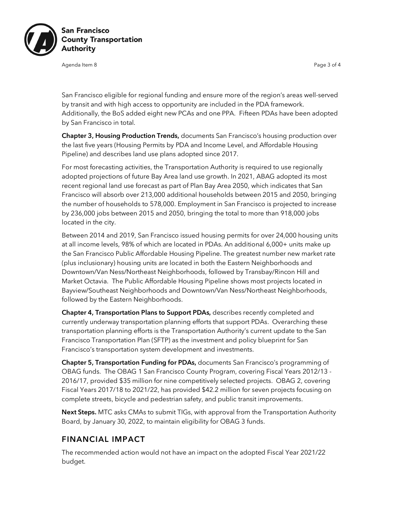

Agenda Item 8 Page 3 of 4

San Francisco eligible for regional funding and ensure more of the region's areas well-served by transit and with high access to opportunity are included in the PDA framework. Additionally, the BoS added eight new PCAs and one PPA. Fifteen PDAs have been adopted by San Francisco in total.

Chapter 3, Housing Production Trends, documents San Francisco's housing production over the last five years (Housing Permits by PDA and Income Level, and Affordable Housing Pipeline) and describes land use plans adopted since 2017.

For most forecasting activities, the Transportation Authority is required to use regionally adopted projections of future Bay Area land use growth. In 2021, ABAG adopted its most recent regional land use forecast as part of Plan Bay Area 2050, which indicates that San Francisco will absorb over 213,000 additional households between 2015 and 2050, bringing the number of households to 578,000. Employment in San Francisco is projected to increase by 236,000 jobs between 2015 and 2050, bringing the total to more than 918,000 jobs located in the city.

Between 2014 and 2019, San Francisco issued housing permits for over 24,000 housing units at all income levels, 98% of which are located in PDAs. An additional 6,000+ units make up the San Francisco Public Affordable Housing Pipeline. The greatest number new market rate (plus inclusionary) housing units are located in both the Eastern Neighborhoods and Downtown/Van Ness/Northeast Neighborhoods, followed by Transbay/Rincon Hill and Market Octavia. The Public Affordable Housing Pipeline shows most projects located in Bayview/Southeast Neighborhoods and Downtown/Van Ness/Northeast Neighborhoods, followed by the Eastern Neighborhoods.

Chapter 4, Transportation Plans to Support PDAs, describes recently completed and currently underway transportation planning efforts that support PDAs. Overarching these transportation planning efforts is the Transportation Authority's current update to the San Francisco Transportation Plan (SFTP) as the investment and policy blueprint for San Francisco's transportation system development and investments.

Chapter 5, Transportation Funding for PDAs, documents San Francisco's programming of OBAG funds. The OBAG 1 San Francisco County Program, covering Fiscal Years 2012/13 - 2016/17, provided \$35 million for nine competitively selected projects. OBAG 2, covering Fiscal Years 2017/18 to 2021/22, has provided \$42.2 million for seven projects focusing on complete streets, bicycle and pedestrian safety, and public transit improvements.

Next Steps. MTC asks CMAs to submit TIGs, with approval from the Transportation Authority Board, by January 30, 2022, to maintain eligibility for OBAG 3 funds.

### FINANCIAL IMPACT

The recommended action would not have an impact on the adopted Fiscal Year 2021/22 budget.